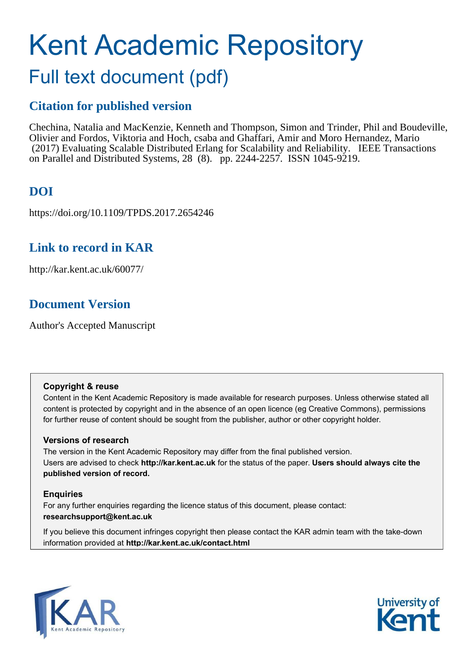# Kent Academic Repository

# Full text document (pdf)

## **Citation for published version**

Chechina, Natalia and MacKenzie, Kenneth and Thompson, Simon and Trinder, Phil and Boudeville, Olivier and Fordos, Viktoria and Hoch, csaba and Ghaffari, Amir and Moro Hernandez, Mario (2017) Evaluating Scalable Distributed Erlang for Scalability and Reliability. IEEE Transactions on Parallel and Distributed Systems, 28 (8). pp. 2244-2257. ISSN 1045-9219.

## **DOI**

https://doi.org/10.1109/TPDS.2017.2654246

## **Link to record in KAR**

http://kar.kent.ac.uk/60077/

## **Document Version**

Author's Accepted Manuscript

### **Copyright & reuse**

Content in the Kent Academic Repository is made available for research purposes. Unless otherwise stated all content is protected by copyright and in the absence of an open licence (eg Creative Commons), permissions for further reuse of content should be sought from the publisher, author or other copyright holder.

## **Versions of research**

The version in the Kent Academic Repository may differ from the final published version. Users are advised to check **http://kar.kent.ac.uk** for the status of the paper. **Users should always cite the published version of record.**

## **Enquiries**

For any further enquiries regarding the licence status of this document, please contact: **researchsupport@kent.ac.uk**

If you believe this document infringes copyright then please contact the KAR admin team with the take-down information provided at **http://kar.kent.ac.uk/contact.html**



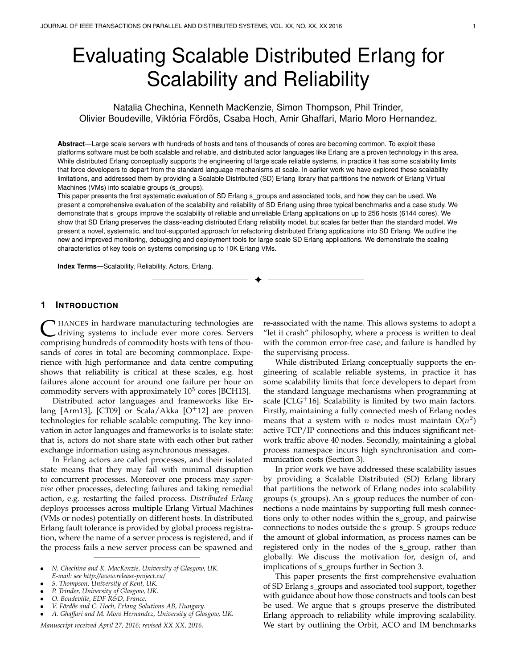# Evaluating Scalable Distributed Erlang for Scalability and Reliability

Natalia Chechina, Kenneth MacKenzie, Simon Thompson, Phil Trinder, Olivier Boudeville, Viktória Fördős, Csaba Hoch, Amir Ghaffari, Mario Moro Hernandez.

**Abstract**—Large scale servers with hundreds of hosts and tens of thousands of cores are becoming common. To exploit these platforms software must be both scalable and reliable, and distributed actor languages like Erlang are a proven technology in this area. While distributed Erlang conceptually supports the engineering of large scale reliable systems, in practice it has some scalability limits that force developers to depart from the standard language mechanisms at scale. In earlier work we have explored these scalability limitations, and addressed them by providing a Scalable Distributed (SD) Erlang library that partitions the network of Erlang Virtual Machines (VMs) into scalable groups (s groups).

This paper presents the first systematic evaluation of SD Erlang s\_groups and associated tools, and how they can be used. We present a comprehensive evaluation of the scalability and reliability of SD Erlang using three typical benchmarks and a case study. We demonstrate that s\_groups improve the scalability of reliable and unreliable Erlang applications on up to 256 hosts (6144 cores). We show that SD Erlang preserves the class-leading distributed Erlang reliability model, but scales far better than the standard model. We present a novel, systematic, and tool-supported approach for refactoring distributed Erlang applications into SD Erlang. We outline the new and improved monitoring, debugging and deployment tools for large scale SD Erlang applications. We demonstrate the scaling characteristics of key tools on systems comprising up to 10K Erlang VMs.

✦

**Index Terms**—Scalability, Reliability, Actors, Erlang.

#### **1 INTRODUCTION**

**C** HANGES in hardware manufacturing technologies are driving systems to include ever more cores. Servers comprising hundreds of commodity hosts with tens of thou-HANGES in hardware manufacturing technologies are driving systems to include ever more cores. Servers sands of cores in total are becoming commonplace. Experience with high performance and data centre computing shows that reliability is critical at these scales, e.g. host failures alone account for around one failure per hour on commodity servers with approximately  $10^5$  cores [BCH13].

Distributed actor languages and frameworks like Erlang [Arm13], [CT09] or Scala/Akka  $[O^+12]$  are proven technologies for reliable scalable computing. The key innovation in actor languages and frameworks is to isolate state: that is, actors do not share state with each other but rather exchange information using asynchronous messages.

In Erlang actors are called processes, and their isolated state means that they may fail with minimal disruption to concurrent processes. Moreover one process may *supervise* other processes, detecting failures and taking remedial action, e.g. restarting the failed process. *Distributed Erlang* deploys processes across multiple Erlang Virtual Machines (VMs or nodes) potentially on different hosts. In distributed Erlang fault tolerance is provided by global process registration, where the name of a server process is registered, and if the process fails a new server process can be spawned and

- *P. Trinder, University of Glasgow, UK.*
- *O. Boudeville, EDF R&D, France.*
- *V. F¨ord˝os and C. Hoch, Erlang Solutions AB, Hungary.*

• *A. Ghaffari and M. Moro Hernandez, University of Glasgow, UK.*

*Manuscript received April 27, 2016; revised XX XX, 2016.*

re-associated with the name. This allows systems to adopt a "let it crash" philosophy, where a process is written to deal with the common error-free case, and failure is handled by the supervising process.

While distributed Erlang conceptually supports the engineering of scalable reliable systems, in practice it has some scalability limits that force developers to depart from the standard language mechanisms when programming at scale [ $CLG+16$ ]. Scalability is limited by two main factors. Firstly, maintaining a fully connected mesh of Erlang nodes means that a system with *n* nodes must maintain  $O(n^2)$ active TCP/IP connections and this induces significant network traffic above 40 nodes. Secondly, maintaining a global process namespace incurs high synchronisation and communication costs (Section 3).

In prior work we have addressed these scalability issues by providing a Scalable Distributed (SD) Erlang library that partitions the network of Erlang nodes into scalability groups (s\_groups). An s\_group reduces the number of connections a node maintains by supporting full mesh connections only to other nodes within the s\_group, and pairwise connections to nodes outside the s\_group. S\_groups reduce the amount of global information, as process names can be registered only in the nodes of the s\_group, rather than globally. We discuss the motivation for, design of, and implications of s\_groups further in Section 3.

This paper presents the first comprehensive evaluation of SD Erlang s\_groups and associated tool support, together with guidance about how those constructs and tools can best be used. We argue that s\_groups preserve the distributed Erlang approach to reliability while improving scalability. We start by outlining the Orbit, ACO and IM benchmarks

<sup>•</sup> *N. Chechina and K. MacKenzie, University of Glasgow, UK. E-mail: see http://www.release-project.eu/*

<sup>•</sup> *S. Thompson, University of Kent, UK.*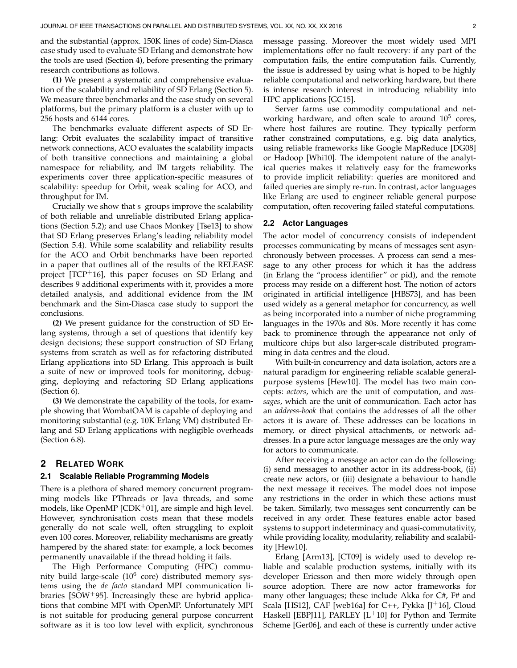and the substantial (approx. 150K lines of code) Sim-Diasca case study used to evaluate SD Erlang and demonstrate how the tools are used (Section 4), before presenting the primary research contributions as follows.

**(1)** We present a systematic and comprehensive evaluation of the scalability and reliability of SD Erlang (Section 5). We measure three benchmarks and the case study on several platforms, but the primary platform is a cluster with up to 256 hosts and 6144 cores.

The benchmarks evaluate different aspects of SD Erlang: Orbit evaluates the scalability impact of transitive network connections, ACO evaluates the scalability impacts of both transitive connections and maintaining a global namespace for reliability, and IM targets reliability. The experiments cover three application-specific measures of scalability: speedup for Orbit, weak scaling for ACO, and throughput for IM.

Crucially we show that s\_groups improve the scalability of both reliable and unreliable distributed Erlang applications (Section 5.2); and use Chaos Monkey [Tse13] to show that SD Erlang preserves Erlang's leading reliability model (Section 5.4). While some scalability and reliability results for the ACO and Orbit benchmarks have been reported in a paper that outlines all of the results of the RELEASE project [TCP+16], this paper focuses on SD Erlang and describes 9 additional experiments with it, provides a more detailed analysis, and additional evidence from the IM benchmark and the Sim-Diasca case study to support the conclusions.

**(2)** We present guidance for the construction of SD Erlang systems, through a set of questions that identify key design decisions; these support construction of SD Erlang systems from scratch as well as for refactoring distributed Erlang applications into SD Erlang. This approach is built a suite of new or improved tools for monitoring, debugging, deploying and refactoring SD Erlang applications (Section 6).

**(3)** We demonstrate the capability of the tools, for example showing that WombatOAM is capable of deploying and monitoring substantial (e.g. 10K Erlang VM) distributed Erlang and SD Erlang applications with negligible overheads (Section 6.8).

#### **2 RELATED WORK**

#### **2.1 Scalable Reliable Programming Models**

There is a plethora of shared memory concurrent programming models like PThreads or Java threads, and some models, like OpenMP [CDK<sup>+</sup>01], are simple and high level. However, synchronisation costs mean that these models generally do not scale well, often struggling to exploit even 100 cores. Moreover, reliability mechanisms are greatly hampered by the shared state: for example, a lock becomes permanently unavailable if the thread holding it fails.

The High Performance Computing (HPC) community build large-scale (10<sup>6</sup> core) distributed memory systems using the *de facto* standard MPI communication libraries [SOW+95]. Increasingly these are hybrid applications that combine MPI with OpenMP. Unfortunately MPI is not suitable for producing general purpose concurrent software as it is too low level with explicit, synchronous

message passing. Moreover the most widely used MPI implementations offer no fault recovery: if any part of the computation fails, the entire computation fails. Currently, the issue is addressed by using what is hoped to be highly reliable computational and networking hardware, but there is intense research interest in introducing reliability into HPC applications [GC15].

Server farms use commodity computational and networking hardware, and often scale to around 10<sup>5</sup> cores, where host failures are routine. They typically perform rather constrained computations, e.g. big data analytics, using reliable frameworks like Google MapReduce [DG08] or Hadoop [Whi10]. The idempotent nature of the analytical queries makes it relatively easy for the frameworks to provide implicit reliability: queries are monitored and failed queries are simply re-run. In contrast, actor languages like Erlang are used to engineer reliable general purpose computation, often recovering failed stateful computations.

#### **2.2 Actor Languages**

The actor model of concurrency consists of independent processes communicating by means of messages sent asynchronously between processes. A process can send a message to any other process for which it has the address (in Erlang the "process identifier" or pid), and the remote process may reside on a different host. The notion of actors originated in artificial intelligence [HBS73], and has been used widely as a general metaphor for concurrency, as well as being incorporated into a number of niche programming languages in the 1970s and 80s. More recently it has come back to prominence through the appearance not only of multicore chips but also larger-scale distributed programming in data centres and the cloud.

With built-in concurrency and data isolation, actors are a natural paradigm for engineering reliable scalable generalpurpose systems [Hew10]. The model has two main concepts: *actors*, which are the unit of computation, and *messages*, which are the unit of communication. Each actor has an *address-book* that contains the addresses of all the other actors it is aware of. These addresses can be locations in memory, or direct physical attachments, or network addresses. In a pure actor language messages are the only way for actors to communicate.

After receiving a message an actor can do the following: (i) send messages to another actor in its address-book, (ii) create new actors, or (iii) designate a behaviour to handle the next message it receives. The model does not impose any restrictions in the order in which these actions must be taken. Similarly, two messages sent concurrently can be received in any order. These features enable actor based systems to support indeterminacy and quasi-commutativity, while providing locality, modularity, reliability and scalability [Hew10].

Erlang [Arm13], [CT09] is widely used to develop reliable and scalable production systems, initially with its developer Ericsson and then more widely through open source adoption. There are now actor frameworks for many other languages; these include Akka for C#, F# and Scala [HS12], CAF [web16a] for C++, Pykka [J<sup>+</sup>16], Cloud Haskell [EBPJ11], PARLEY  $[L+10]$  for Python and Termite Scheme [Ger06], and each of these is currently under active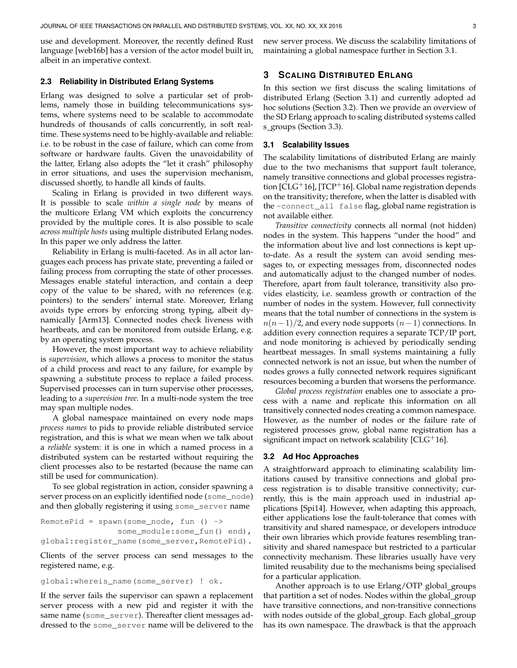use and development. Moreover, the recently defined Rust language [web16b] has a version of the actor model built in, albeit in an imperative context.

#### **2.3 Reliability in Distributed Erlang Systems**

Erlang was designed to solve a particular set of problems, namely those in building telecommunications systems, where systems need to be scalable to accommodate hundreds of thousands of calls concurrently, in soft realtime. These systems need to be highly-available and reliable: i.e. to be robust in the case of failure, which can come from software or hardware faults. Given the unavoidability of the latter, Erlang also adopts the "let it crash" philosophy in error situations, and uses the supervision mechanism, discussed shortly, to handle all kinds of faults.

Scaling in Erlang is provided in two different ways. It is possible to scale *within a single node* by means of the multicore Erlang VM which exploits the concurrency provided by the multiple cores. It is also possible to scale *across multiple hosts* using multiple distributed Erlang nodes. In this paper we only address the latter.

Reliability in Erlang is multi-faceted. As in all actor languages each process has private state, preventing a failed or failing process from corrupting the state of other processes. Messages enable stateful interaction, and contain a deep copy of the value to be shared, with no references (e.g. pointers) to the senders' internal state. Moreover, Erlang avoids type errors by enforcing strong typing, albeit dynamically [Arm13]. Connected nodes check liveness with heartbeats, and can be monitored from outside Erlang, e.g. by an operating system process.

However, the most important way to achieve reliability is *supervision*, which allows a process to monitor the status of a child process and react to any failure, for example by spawning a substitute process to replace a failed process. Supervised processes can in turn supervise other processes, leading to a *supervision tree*. In a multi-node system the tree may span multiple nodes.

A global namespace maintained on every node maps *process names* to pids to provide reliable distributed service registration, and this is what we mean when we talk about a *reliable* system: it is one in which a named process in a distributed system can be restarted without requiring the client processes also to be restarted (because the name can still be used for communication).

To see global registration in action, consider spawning a server process on an explicitly identified node (some\_node) and then globally registering it using some\_server name

```
RemotePid = spam(some\_node, fun () ->
                some_module:some_fun() end),
global:register_name(some_server,RemotePid).
```
Clients of the server process can send messages to the registered name, e.g.

```
global:whereis_name(some_server) ! ok.
```
If the server fails the supervisor can spawn a replacement server process with a new pid and register it with the same name (some\_server). Thereafter client messages addressed to the some\_server name will be delivered to the

new server process. We discuss the scalability limitations of maintaining a global namespace further in Section 3.1.

#### **3 SCALING DISTRIBUTED ERLANG**

In this section we first discuss the scaling limitations of distributed Erlang (Section 3.1) and currently adopted ad hoc solutions (Section 3.2). Then we provide an overview of the SD Erlang approach to scaling distributed systems called s\_groups (Section 3.3).

#### **3.1 Scalability Issues**

The scalability limitations of distributed Erlang are mainly due to the two mechanisms that support fault tolerance, namely transitive connections and global processes registration  $[CLG^+16]$ ,  $[TCP^+16]$ . Global name registration depends on the transitivity; therefore, when the latter is disabled with the -connect\_all false flag, global name registration is not available either.

*Transitive connectivity* connects all normal (not hidden) nodes in the system. This happens "under the hood" and the information about live and lost connections is kept upto-date. As a result the system can avoid sending messages to, or expecting messages from, disconnected nodes and automatically adjust to the changed number of nodes. Therefore, apart from fault tolerance, transitivity also provides elasticity, i.e. seamless growth or contraction of the number of nodes in the system. However, full connectivity means that the total number of connections in the system is  $n(n-1)/2$ , and every node supports  $(n-1)$  connections. In addition every connection requires a separate TCP/IP port, and node monitoring is achieved by periodically sending heartbeat messages. In small systems maintaining a fully connected network is not an issue, but when the number of nodes grows a fully connected network requires significant resources becoming a burden that worsens the performance.

*Global process registration* enables one to associate a process with a name and replicate this information on all transitively connected nodes creating a common namespace. However, as the number of nodes or the failure rate of registered processes grow, global name registration has a significant impact on network scalability  $[CLG<sup>+</sup>16]$ .

#### **3.2 Ad Hoc Approaches**

A straightforward approach to eliminating scalability limitations caused by transitive connections and global process registration is to disable transitive connectivity; currently, this is the main approach used in industrial applications [Spi14]. However, when adapting this approach, either applications lose the fault-tolerance that comes with transitivity and shared namespace, or developers introduce their own libraries which provide features resembling transitivity and shared namespace but restricted to a particular connectivity mechanism. These libraries usually have very limited reusability due to the mechanisms being specialised for a particular application.

Another approach is to use Erlang/OTP global groups that partition a set of nodes. Nodes within the global group have transitive connections, and non-transitive connections with nodes outside of the global\_group. Each global\_group has its own namespace. The drawback is that the approach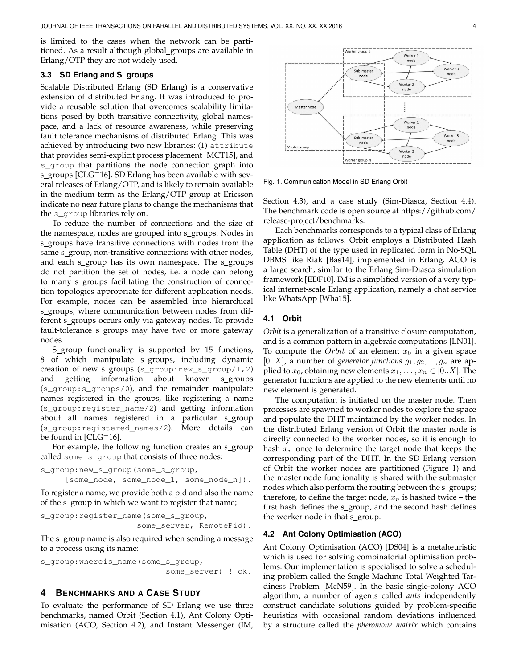is limited to the cases when the network can be partitioned. As a result although global groups are available in Erlang/OTP they are not widely used.

#### **3.3 SD Erlang and S groups**

Scalable Distributed Erlang (SD Erlang) is a conservative extension of distributed Erlang. It was introduced to provide a reusable solution that overcomes scalability limitations posed by both transitive connectivity, global namespace, and a lack of resource awareness, while preserving fault tolerance mechanisms of distributed Erlang. This was achieved by introducing two new libraries: (1) attribute that provides semi-explicit process placement [MCT15], and s\_group that partitions the node connection graph into s\_groups [ $CLG+16$ ]. SD Erlang has been available with several releases of Erlang/OTP, and is likely to remain available in the medium term as the Erlang/OTP group at Ericsson indicate no near future plans to change the mechanisms that the s\_group libraries rely on.

To reduce the number of connections and the size of the namespace, nodes are grouped into s\_groups. Nodes in s\_groups have transitive connections with nodes from the same s\_group, non-transitive connections with other nodes, and each s\_group has its own namespace. The s\_groups do not partition the set of nodes, i.e. a node can belong to many s\_groups facilitating the construction of connection topologies appropriate for different application needs. For example, nodes can be assembled into hierarchical s\_groups, where communication between nodes from different s\_groups occurs only via gateway nodes. To provide fault-tolerance s\_groups may have two or more gateway nodes.

S\_group functionality is supported by 15 functions, 8 of which manipulate s\_groups, including dynamic creation of new s\_groups (s\_group:new\_s\_group/1,2) and getting information about known s\_groups (s\_group:s\_groups/0), and the remainder manipulate names registered in the groups, like registering a name (s\_group:register\_name/2) and getting information about all names registered in a particular s\_group (s\_group:registered\_names/2). More details can be found in  $[CLG<sup>+</sup>16]$ .

For example, the following function creates an s\_group called some\_s\_group that consists of three nodes:

```
s_group:new_s_group(some_s_group,
     [some_node, some_node_1, some_node_n]).
```
To register a name, we provide both a pid and also the name of the s\_group in which we want to register that name;

```
s_group:register_name(some_s_group,
                    some_server, RemotePid).
```
The s\_group name is also required when sending a message to a process using its name:

s\_group:whereis\_name(some\_s\_group, some\_server) ! ok.

#### **4 BENCHMARKS AND A CASE STUDY**

To evaluate the performance of SD Erlang we use three benchmarks, named Orbit (Section 4.1), Ant Colony Optimisation (ACO, Section 4.2), and Instant Messenger (IM,



Fig. 1. Communication Model in SD Erlang Orbit

Section 4.3), and a case study (Sim-Diasca, Section 4.4). The benchmark code is open source at https://github.com/ release-project/benchmarks.

Each benchmarks corresponds to a typical class of Erlang application as follows. Orbit employs a Distributed Hash Table (DHT) of the type used in replicated form in No-SQL DBMS like Riak [Bas14], implemented in Erlang. ACO is a large search, similar to the Erlang Sim-Diasca simulation framework [EDF10]. IM is a simplified version of a very typical internet-scale Erlang application, namely a chat service like WhatsApp [Wha15].

#### **4.1 Orbit**

*Orbit* is a generalization of a transitive closure computation, and is a common pattern in algebraic computations [LN01]. To compute the *Orbit* of an element  $x_0$  in a given space  $[0..X]$ , a number of *generator functions*  $g_1, g_2, ..., g_n$  are applied to  $x_0$ , obtaining new elements  $x_1, \ldots, x_n \in [0..X]$ . The generator functions are applied to the new elements until no new element is generated.

The computation is initiated on the master node. Then processes are spawned to worker nodes to explore the space and populate the DHT maintained by the worker nodes. In the distributed Erlang version of Orbit the master node is directly connected to the worker nodes, so it is enough to hash  $x_n$  once to determine the target node that keeps the corresponding part of the DHT. In the SD Erlang version of Orbit the worker nodes are partitioned (Figure 1) and the master node functionality is shared with the submaster nodes which also perform the routing between the s\_groups; therefore, to define the target node,  $x_n$  is hashed twice – the first hash defines the s group, and the second hash defines the worker node in that s\_group.

#### **4.2 Ant Colony Optimisation (ACO)**

Ant Colony Optimisation (ACO) [DS04] is a metaheuristic which is used for solving combinatorial optimisation problems. Our implementation is specialised to solve a scheduling problem called the Single Machine Total Weighted Tardiness Problem [McN59]. In the basic single-colony ACO algorithm, a number of agents called *ants* independently construct candidate solutions guided by problem-specific heuristics with occasional random deviations influenced by a structure called the *pheromone matrix* which contains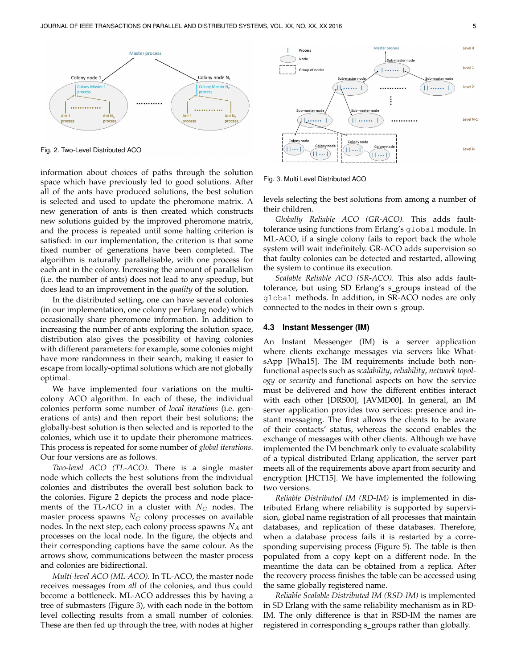

Fig. 2. Two-Level Distributed ACO

information about choices of paths through the solution space which have previously led to good solutions. After all of the ants have produced solutions, the best solution is selected and used to update the pheromone matrix. A new generation of ants is then created which constructs new solutions guided by the improved pheromone matrix, and the process is repeated until some halting criterion is satisfied: in our implementation, the criterion is that some fixed number of generations have been completed. The algorithm is naturally parallelisable, with one process for each ant in the colony. Increasing the amount of parallelism (i.e. the number of ants) does not lead to any speedup, but does lead to an improvement in the *quality* of the solution.

In the distributed setting, one can have several colonies (in our implementation, one colony per Erlang node) which occasionally share pheromone information. In addition to increasing the number of ants exploring the solution space, distribution also gives the possibility of having colonies with different parameters: for example, some colonies might have more randomness in their search, making it easier to escape from locally-optimal solutions which are not globally optimal.

We have implemented four variations on the multicolony ACO algorithm. In each of these, the individual colonies perform some number of *local iterations* (i.e. generations of ants) and then report their best solutions; the globally-best solution is then selected and is reported to the colonies, which use it to update their pheromone matrices. This process is repeated for some number of *global iterations*. Our four versions are as follows.

*Two-level ACO (TL-ACO).* There is a single master node which collects the best solutions from the individual colonies and distributes the overall best solution back to the colonies. Figure 2 depicts the process and node placements of the *TL-ACO* in a cluster with  $N_C$  nodes. The master process spawns  $N_C$  colony processes on available nodes. In the next step, each colony process spawns  $N_A$  ant processes on the local node. In the figure, the objects and their corresponding captions have the same colour. As the arrows show, communications between the master process and colonies are bidirectional.

*Multi-level ACO (ML-ACO).* In TL-ACO, the master node receives messages from *all* of the colonies, and thus could become a bottleneck. ML-ACO addresses this by having a tree of submasters (Figure 3), with each node in the bottom level collecting results from a small number of colonies. These are then fed up through the tree, with nodes at higher



Fig. 3. Multi Level Distributed ACO

levels selecting the best solutions from among a number of their children.

*Globally Reliable ACO (GR-ACO).* This adds faulttolerance using functions from Erlang's global module. In ML-ACO, if a single colony fails to report back the whole system will wait indefinitely. GR-ACO adds supervision so that faulty colonies can be detected and restarted, allowing the system to continue its execution.

*Scalable Reliable ACO (SR-ACO).* This also adds faulttolerance, but using SD Erlang's s groups instead of the global methods. In addition, in SR-ACO nodes are only connected to the nodes in their own s\_group.

#### **4.3 Instant Messenger (IM)**

An Instant Messenger (IM) is a server application where clients exchange messages via servers like WhatsApp [Wha15]. The IM requirements include both nonfunctional aspects such as *scalability*, *reliability*, *network topology* or *security* and functional aspects on how the service must be delivered and how the different entities interact with each other [DRS00], [AVMD00]. In general, an IM server application provides two services: presence and instant messaging. The first allows the clients to be aware of their contacts' status, whereas the second enables the exchange of messages with other clients. Although we have implemented the IM benchmark only to evaluate scalability of a typical distributed Erlang application, the server part meets all of the requirements above apart from security and encryption [HCT15]. We have implemented the following two versions.

*Reliable Distributed IM (RD-IM)* is implemented in distributed Erlang where reliability is supported by supervision, global name registration of all processes that maintain databases, and replication of these databases. Therefore, when a database process fails it is restarted by a corresponding supervising process (Figure 5). The table is then populated from a copy kept on a different node. In the meantime the data can be obtained from a replica. After the recovery process finishes the table can be accessed using the same globally registered name.

*Reliable Scalable Distributed IM (RSD-IM)* is implemented in SD Erlang with the same reliability mechanism as in RD-IM. The only difference is that in RSD-IM the names are registered in corresponding s\_groups rather than globally.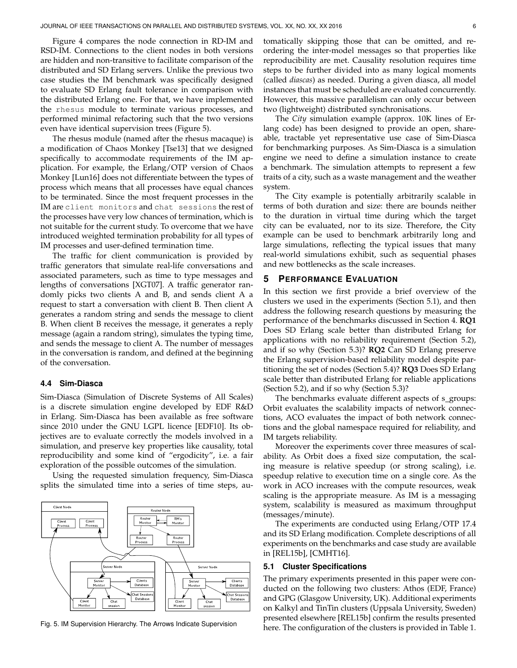Figure 4 compares the node connection in RD-IM and RSD-IM. Connections to the client nodes in both versions are hidden and non-transitive to facilitate comparison of the distributed and SD Erlang servers. Unlike the previous two case studies the IM benchmark was specifically designed to evaluate SD Erlang fault tolerance in comparison with the distributed Erlang one. For that, we have implemented the rhesus module to terminate various processes, and performed minimal refactoring such that the two versions even have identical supervision trees (Figure 5).

The rhesus module (named after the rhesus macaque) is a modification of Chaos Monkey [Tse13] that we designed specifically to accommodate requirements of the IM application. For example, the Erlang/OTP version of Chaos Monkey [Lun16] does not differentiate between the types of process which means that all processes have equal chances to be terminated. Since the most frequent processes in the IM are client monitors and chat sessions the rest of the processes have very low chances of termination, which is not suitable for the current study. To overcome that we have introduced weighted termination probability for all types of IM processes and user-defined termination time.

The traffic for client communication is provided by traffic generators that simulate real-life conversations and associated parameters, such as time to type messages and lengths of conversations [XGT07]. A traffic generator randomly picks two clients A and B, and sends client A a request to start a conversation with client B. Then client A generates a random string and sends the message to client B. When client B receives the message, it generates a reply message (again a random string), simulates the typing time, and sends the message to client A. The number of messages in the conversation is random, and defined at the beginning of the conversation.

#### **4.4 Sim-Diasca**

Sim-Diasca (Simulation of Discrete Systems of All Scales) is a discrete simulation engine developed by EDF R&D in Erlang. Sim-Diasca has been available as free software since 2010 under the GNU LGPL licence [EDF10]. Its objectives are to evaluate correctly the models involved in a simulation, and preserve key properties like causality, total reproducibility and some kind of "ergodicity", i.e. a fair exploration of the possible outcomes of the simulation.

Using the requested simulation frequency, Sim-Diasca splits the simulated time into a series of time steps, au-



Fig. 5. IM Supervision Hierarchy. The Arrows Indicate Supervision

tomatically skipping those that can be omitted, and reordering the inter-model messages so that properties like reproducibility are met. Causality resolution requires time steps to be further divided into as many logical moments (called *diascas*) as needed. During a given diasca, all model instances that must be scheduled are evaluated concurrently. However, this massive parallelism can only occur between two (lightweight) distributed synchronisations.

The *City* simulation example (approx. 10K lines of Erlang code) has been designed to provide an open, shareable, tractable yet representative use case of Sim-Diasca for benchmarking purposes. As Sim-Diasca is a simulation engine we need to define a simulation instance to create a benchmark. The simulation attempts to represent a few traits of a city, such as a waste management and the weather system.

The City example is potentially arbitrarily scalable in terms of both duration and size: there are bounds neither to the duration in virtual time during which the target city can be evaluated, nor to its size. Therefore, the City example can be used to benchmark arbitrarily long and large simulations, reflecting the typical issues that many real-world simulations exhibit, such as sequential phases and new bottlenecks as the scale increases.

#### **5 PERFORMANCE EVALUATION**

In this section we first provide a brief overview of the clusters we used in the experiments (Section 5.1), and then address the following research questions by measuring the performance of the benchmarks discussed in Section 4. **RQ1** Does SD Erlang scale better than distributed Erlang for applications with no reliability requirement (Section 5.2), and if so why (Section 5.3)? **RQ2** Can SD Erlang preserve the Erlang supervision-based reliability model despite partitioning the set of nodes (Section 5.4)? **RQ3** Does SD Erlang scale better than distributed Erlang for reliable applications (Section 5.2), and if so why (Section 5.3)?

The benchmarks evaluate different aspects of s\_groups: Orbit evaluates the scalability impacts of network connections, ACO evaluates the impact of both network connections and the global namespace required for reliability, and IM targets reliability.

Moreover the experiments cover three measures of scalability. As Orbit does a fixed size computation, the scaling measure is relative speedup (or strong scaling), i.e. speedup relative to execution time on a single core. As the work in ACO increases with the compute resources, weak scaling is the appropriate measure. As IM is a messaging system, scalability is measured as maximum throughput (messages/minute).

The experiments are conducted using Erlang/OTP 17.4 and its SD Erlang modification. Complete descriptions of all experiments on the benchmarks and case study are available in [REL15b], [CMHT16].

#### **5.1 Cluster Specifications**

The primary experiments presented in this paper were conducted on the following two clusters: Athos (EDF, France) and GPG (Glasgow University, UK). Additional experiments on Kalkyl and TinTin clusters (Uppsala University, Sweden) presented elsewhere [REL15b] confirm the results presented here. The configuration of the clusters is provided in Table 1.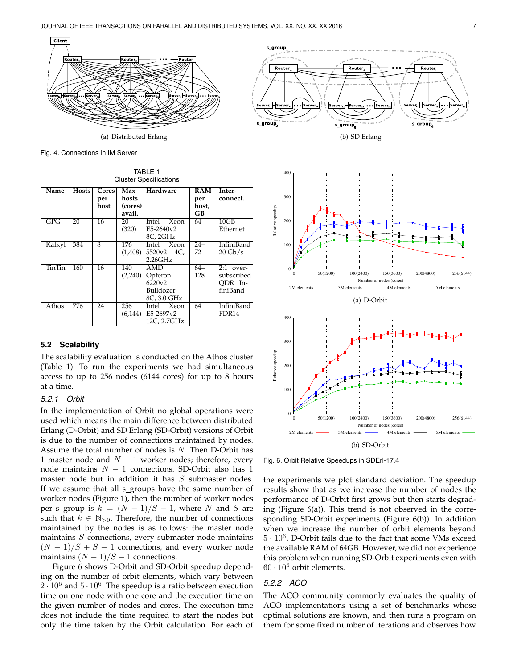

Fig. 4. Connections in IM Server

TABLE 1 Cluster Specifications

| Name          | <b>Hosts</b>    | Cores           | Max             | Hardware      | RAM   | Inter-            |
|---------------|-----------------|-----------------|-----------------|---------------|-------|-------------------|
|               |                 | per             | hosts           |               | per   | connect.          |
|               |                 | host            | (cores)         |               | host, |                   |
|               |                 |                 | avail.          |               | GB    |                   |
| GPG           | $\overline{20}$ | 16              | $\overline{20}$ | Intel<br>Xeon | 64    | 10GB              |
|               |                 |                 | (320)           | $E5-2640v2$   |       | Ethernet          |
|               |                 |                 |                 | 8C, 2GHz      |       |                   |
| Kalkyl        | 384             | $\overline{8}$  | 176             | Intel Xeon    | $24-$ | <b>InfiniBand</b> |
|               |                 |                 | (1,408)         | 5520v2 4C,    | 72    | $20 \text{Gb/s}$  |
|               |                 |                 |                 | 2.26GHz       |       |                   |
| <b>TinTin</b> | 160             | $\overline{16}$ | 140             | <b>AMD</b>    | $64-$ | $2:1$ over-       |
|               |                 |                 | (2,240)         | Opteron       | 128   | subscribed        |
|               |                 |                 |                 | 6220v2        |       | ODR In-           |
|               |                 |                 |                 | Bulldozer     |       | finiBand          |
|               |                 |                 |                 | 8C, 3.0 GHz   |       |                   |
| Athos         | 776             | $\overline{24}$ | 256             | Intel Xeon    | 64    | <b>InfiniBand</b> |
|               |                 |                 | (6.144)         | E5-2697v2     |       | FDR <sub>14</sub> |
|               |                 |                 |                 | 12C, 2.7GHz   |       |                   |

#### **5.2 Scalability**

The scalability evaluation is conducted on the Athos cluster (Table 1). To run the experiments we had simultaneous access to up to 256 nodes (6144 cores) for up to 8 hours at a time.

#### *5.2.1 Orbit*

In the implementation of Orbit no global operations were used which means the main difference between distributed Erlang (D-Orbit) and SD Erlang (SD-Orbit) versions of Orbit is due to the number of connections maintained by nodes. Assume the total number of nodes is N. Then D-Orbit has 1 master node and  $N - 1$  worker nodes; therefore, every node maintains  $N - 1$  connections. SD-Orbit also has 1 master node but in addition it has S submaster nodes. If we assume that all s\_groups have the same number of worker nodes (Figure 1), then the number of worker nodes per s\_group is  $k = (N-1)/S - 1$ , where N and S are such that  $k \in \mathbb{N}_{>0}$ . Therefore, the number of connections maintained by the nodes is as follows: the master node maintains  $S$  connections, every submaster node maintains  $(N-1)/S + S - 1$  connections, and every worker node maintains  $(N-1)/S-1$  connections.

Figure 6 shows D-Orbit and SD-Orbit speedup depending on the number of orbit elements, which vary between  $2\cdot10^6$  and  $5\cdot10^6$ . The speedup is a ratio between execution time on one node with one core and the execution time on the given number of nodes and cores. The execution time does not include the time required to start the nodes but only the time taken by the Orbit calculation. For each of









Fig. 6. Orbit Relative Speedups in SDErl-17.4

the experiments we plot standard deviation. The speedup results show that as we increase the number of nodes the performance of D-Orbit first grows but then starts degrading (Figure 6(a)). This trend is not observed in the corresponding SD-Orbit experiments (Figure 6(b)). In addition when we increase the number of orbit elements beyond  $5 \cdot 10^6$ , D-Orbit fails due to the fact that some VMs exceed the available RAM of 64GB. However, we did not experience this problem when running SD-Orbit experiments even with  $60 \cdot 10^6$  orbit elements.

#### *5.2.2 ACO*

The ACO community commonly evaluates the quality of ACO implementations using a set of benchmarks whose optimal solutions are known, and then runs a program on them for some fixed number of iterations and observes how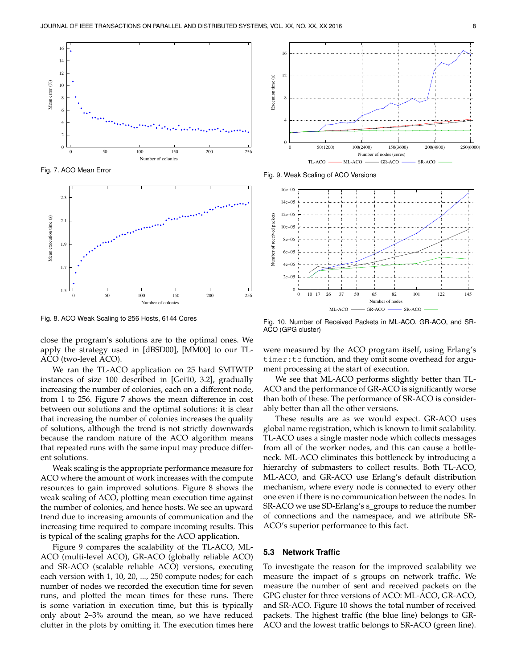

Fig. 7. ACO Mean Error



Fig. 8. ACO Weak Scaling to 256 Hosts, 6144 Cores

close the program's solutions are to the optimal ones. We apply the strategy used in [dBSD00], [MM00] to our TL-ACO (two-level ACO).

We ran the TL-ACO application on 25 hard SMTWTP instances of size 100 described in [Gei10, 3.2], gradually increasing the number of colonies, each on a different node, from 1 to 256. Figure 7 shows the mean difference in cost between our solutions and the optimal solutions: it is clear that increasing the number of colonies increases the quality of solutions, although the trend is not strictly downwards because the random nature of the ACO algorithm means that repeated runs with the same input may produce different solutions.

Weak scaling is the appropriate performance measure for ACO where the amount of work increases with the compute resources to gain improved solutions. Figure 8 shows the weak scaling of ACO, plotting mean execution time against the number of colonies, and hence hosts. We see an upward trend due to increasing amounts of communication and the increasing time required to compare incoming results. This is typical of the scaling graphs for the ACO application.

Figure 9 compares the scalability of the TL-ACO, ML-ACO (multi-level ACO), GR-ACO (globally reliable ACO) and SR-ACO (scalable reliable ACO) versions, executing each version with 1, 10, 20, ..., 250 compute nodes; for each number of nodes we recorded the execution time for seven runs, and plotted the mean times for these runs. There is some variation in execution time, but this is typically only about 2–3% around the mean, so we have reduced clutter in the plots by omitting it. The execution times here



Fig. 9. Weak Scaling of ACO Versions



Fig. 10. Number of Received Packets in ML-ACO, GR-ACO, and SR-ACO (GPG cluster)

were measured by the ACO program itself, using Erlang's timer: tc function, and they omit some overhead for argument processing at the start of execution.

We see that ML-ACO performs slightly better than TL-ACO and the performance of GR-ACO is significantly worse than both of these. The performance of SR-ACO is considerably better than all the other versions.

These results are as we would expect. GR-ACO uses global name registration, which is known to limit scalability. TL-ACO uses a single master node which collects messages from all of the worker nodes, and this can cause a bottleneck. ML-ACO eliminates this bottleneck by introducing a hierarchy of submasters to collect results. Both TL-ACO, ML-ACO, and GR-ACO use Erlang's default distribution mechanism, where every node is connected to every other one even if there is no communication between the nodes. In SR-ACO we use SD-Erlang's s\_groups to reduce the number of connections and the namespace, and we attribute SR-ACO's superior performance to this fact.

#### **5.3 Network Traffic**

To investigate the reason for the improved scalability we measure the impact of s\_groups on network traffic. We measure the number of sent and received packets on the GPG cluster for three versions of ACO: ML-ACO, GR-ACO, and SR-ACO. Figure 10 shows the total number of received packets. The highest traffic (the blue line) belongs to GR-ACO and the lowest traffic belongs to SR-ACO (green line).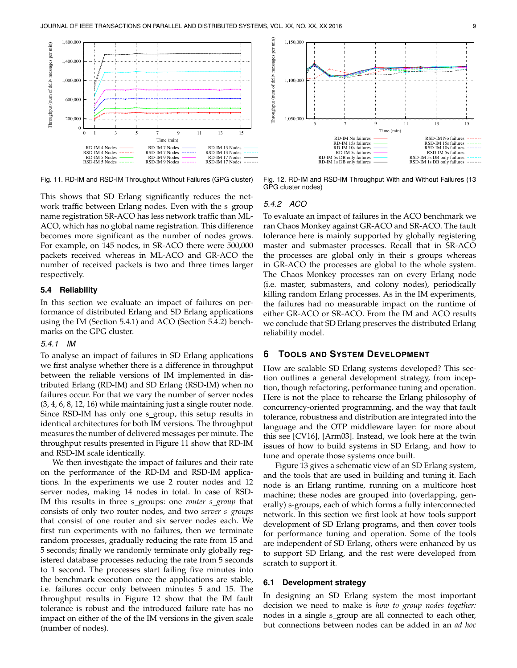



Fig. 11. RD-IM and RSD-IM Throughput Without Failures (GPG cluster)

Fig. 12. RD-IM and RSD-IM Throughput With and Without Failures (13 GPG cluster nodes)

This shows that SD Erlang significantly reduces the network traffic between Erlang nodes. Even with the s\_group name registration SR-ACO has less network traffic than ML-ACO, which has no global name registration. This difference becomes more significant as the number of nodes grows. For example, on 145 nodes, in SR-ACO there were 500,000 packets received whereas in ML-ACO and GR-ACO the number of received packets is two and three times larger respectively.

#### **5.4 Reliability**

In this section we evaluate an impact of failures on performance of distributed Erlang and SD Erlang applications using the IM (Section 5.4.1) and ACO (Section 5.4.2) benchmarks on the GPG cluster.

#### *5.4.1 IM*

To analyse an impact of failures in SD Erlang applications we first analyse whether there is a difference in throughput between the reliable versions of IM implemented in distributed Erlang (RD-IM) and SD Erlang (RSD-IM) when no failures occur. For that we vary the number of server nodes (3, 4, 6, 8, 12, 16) while maintaining just a single router node. Since RSD-IM has only one s\_group, this setup results in identical architectures for both IM versions. The throughput measures the number of delivered messages per minute. The throughput results presented in Figure 11 show that RD-IM and RSD-IM scale identically.

We then investigate the impact of failures and their rate on the performance of the RD-IM and RSD-IM applications. In the experiments we use 2 router nodes and 12 server nodes, making 14 nodes in total. In case of RSD-IM this results in three s groups: one *router s group* that consists of only two router nodes, and two *server s groups* that consist of one router and six server nodes each. We first run experiments with no failures, then we terminate random processes, gradually reducing the rate from 15 and 5 seconds; finally we randomly terminate only globally registered database processes reducing the rate from 5 seconds to 1 second. The processes start failing five minutes into the benchmark execution once the applications are stable, i.e. failures occur only between minutes 5 and 15. The throughput results in Figure 12 show that the IM fault tolerance is robust and the introduced failure rate has no impact on either of the of the IM versions in the given scale (number of nodes).

*5.4.2 ACO*

To evaluate an impact of failures in the ACO benchmark we ran Chaos Monkey against GR-ACO and SR-ACO. The fault tolerance here is mainly supported by globally registering master and submaster processes. Recall that in SR-ACO the processes are global only in their s\_groups whereas in GR-ACO the processes are global to the whole system. The Chaos Monkey processes ran on every Erlang node (i.e. master, submasters, and colony nodes), periodically killing random Erlang processes. As in the IM experiments, the failures had no measurable impact on the runtime of either GR-ACO or SR-ACO. From the IM and ACO results we conclude that SD Erlang preserves the distributed Erlang reliability model.

#### **6 TOOLS AND SYSTEM DEVELOPMENT**

How are scalable SD Erlang systems developed? This section outlines a general development strategy, from inception, though refactoring, performance tuning and operation. Here is not the place to rehearse the Erlang philosophy of concurrency-oriented programming, and the way that fault tolerance, robustness and distribution are integrated into the language and the OTP middleware layer: for more about this see [CV16], [Arm03]. Instead, we look here at the twin issues of how to build systems in SD Erlang, and how to tune and operate those systems once built.

Figure 13 gives a schematic view of an SD Erlang system, and the tools that are used in building and tuning it. Each node is an Erlang runtime, running on a multicore host machine; these nodes are grouped into (overlapping, generally) s-groups, each of which forms a fully interconnected network. In this section we first look at how tools support development of SD Erlang programs, and then cover tools for performance tuning and operation. Some of the tools are independent of SD Erlang, others were enhanced by us to support SD Erlang, and the rest were developed from scratch to support it.

#### **6.1 Development strategy**

In designing an SD Erlang system the most important decision we need to make is *how to group nodes together:* nodes in a single s\_group are all connected to each other, but connections between nodes can be added in an *ad hoc*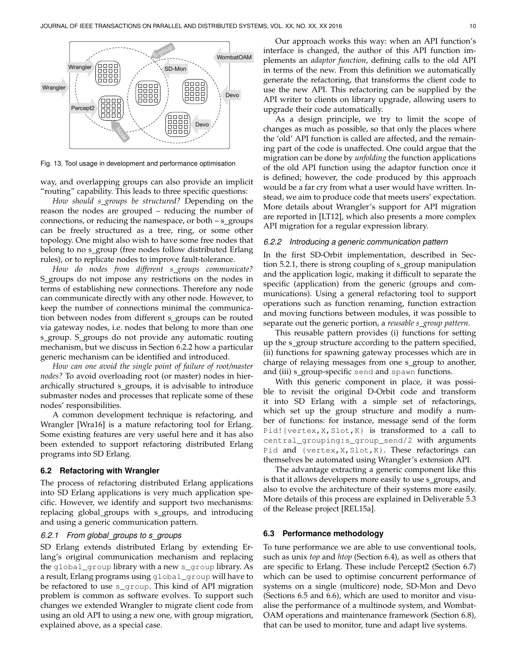

Fig. 13. Tool usage in development and performance optimisation

way, and overlapping groups can also provide an implicit "routing" capability. This leads to three specific questions:

*How should s groups be structured?* Depending on the reason the nodes are grouped – reducing the number of connections, or reducing the namespace, or both  $-$  s\_groups can be freely structured as a tree, ring, or some other topology. One might also wish to have some free nodes that belong to no s\_group (free nodes follow distributed Erlang rules), or to replicate nodes to improve fault-tolerance.

*How do nodes from different s groups communicate?* S groups do not impose any restrictions on the nodes in terms of establishing new connections. Therefore any node can communicate directly with any other node. However, to keep the number of connections minimal the communication between nodes from different s groups can be routed via gateway nodes, i.e. nodes that belong to more than one s\_group. S\_groups do not provide any automatic routing mechanism, but we discuss in Section 6.2.2 how a particular generic mechanism can be identified and introduced.

*How can one avoid the single point of failure of root/master nodes?* To avoid overloading root (or master) nodes in hierarchically structured s\_groups, it is advisable to introduce submaster nodes and processes that replicate some of these nodes' responsibilities.

A common development technique is refactoring, and Wrangler [Wra16] is a mature refactoring tool for Erlang. Some existing features are very useful here and it has also been extended to support refactoring distributed Erlang programs into SD Erlang.

#### **6.2 Refactoring with Wrangler**

The process of refactoring distributed Erlang applications into SD Erlang applications is very much application specific. However, we identify and support two mechanisms: replacing global\_groups with s\_groups, and introducing and using a generic communication pattern.

#### *6.2.1 From global groups to s groups*

SD Erlang extends distributed Erlang by extending Erlang's original communication mechanism and replacing the global\_group library with a new s\_group library. As a result, Erlang programs using global\_group will have to be refactored to use s\_group. This kind of API migration problem is common as software evolves. To support such changes we extended Wrangler to migrate client code from using an old API to using a new one, with group migration, explained above, as a special case.

Our approach works this way: when an API function's interface is changed, the author of this API function implements an *adaptor function*, defining calls to the old API in terms of the new. From this definition we automatically generate the refactoring, that transforms the client code to use the new API. This refactoring can be supplied by the API writer to clients on library upgrade, allowing users to upgrade their code automatically.

As a design principle, we try to limit the scope of changes as much as possible, so that only the places where the 'old' API function is called are affected, and the remaining part of the code is unaffected. One could argue that the migration can be done by *unfolding* the function applications of the old API function using the adaptor function once it is defined; however, the code produced by this approach would be a far cry from what a user would have written. Instead, we aim to produce code that meets users' expectation. More details about Wrangler's support for API migration are reported in [LT12], which also presents a more complex API migration for a regular expression library.

#### *6.2.2 Introducing a generic communication pattern*

In the first SD-Orbit implementation, described in Section 5.2.1, there is strong coupling of s\_group manipulation and the application logic, making it difficult to separate the specific (application) from the generic (groups and communications). Using a general refactoring tool to support operations such as function renaming, function extraction and moving functions between modules, it was possible to separate out the generic portion, a *reusable s group pattern*.

This reusable pattern provides (i) functions for setting up the s\_group structure according to the pattern specified, (ii) functions for spawning gateway processes which are in charge of relaying messages from one s\_group to another, and (iii) s\_group-specific send and spawn functions.

With this generic component in place, it was possible to revisit the original D-Orbit code and transform it into SD Erlang with a simple set of refactorings, which set up the group structure and modify a number of functions: for instance, message send of the form Pid!{vertex,X,Slot,K} is transformed to a call to central\_grouping:s\_group\_send/2 with arguments Pid and {vertex, X, Slot, K}. These refactorings can themselves be automated using Wrangler's extension API.

The advantage extracting a generic component like this is that it allows developers more easily to use s\_groups, and also to evolve the architecture of their systems more easily. More details of this process are explained in Deliverable 5.3 of the Release project [REL15a].

#### **6.3 Performance methodology**

To tune performance we are able to use conventional tools, such as unix *top* and *htop* (Section 6.4), as well as others that are specific to Erlang. These include Percept2 (Section 6.7) which can be used to optimise concurrent performance of systems on a single (multicore) node, SD-Mon and Devo (Sections 6.5 and 6.6), which are used to monitor and visualise the performance of a multinode system, and Wombat-OAM operations and maintenance framework (Section 6.8), that can be used to monitor, tune and adapt live systems.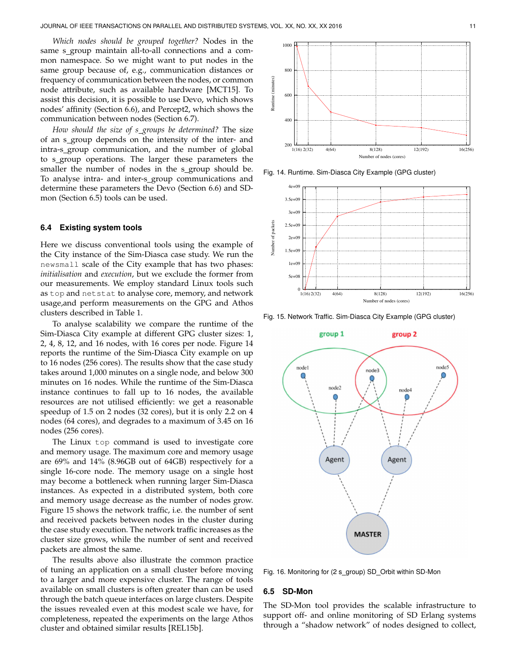*Which nodes should be grouped together?* Nodes in the same s\_group maintain all-to-all connections and a common namespace. So we might want to put nodes in the same group because of, e.g., communication distances or frequency of communication between the nodes, or common node attribute, such as available hardware [MCT15]. To assist this decision, it is possible to use Devo, which shows nodes' affinity (Section 6.6), and Percept2, which shows the communication between nodes (Section 6.7).

*How should the size of s groups be determined?* The size of an s group depends on the intensity of the inter- and intra-s group communication, and the number of global to s\_group operations. The larger these parameters the smaller the number of nodes in the s\_group should be. To analyse intra- and inter-s group communications and determine these parameters the Devo (Section 6.6) and SDmon (Section 6.5) tools can be used.

#### **6.4 Existing system tools**

Here we discuss conventional tools using the example of the City instance of the Sim-Diasca case study. We run the newsmall scale of the City example that has two phases: *initialisation* and *execution*, but we exclude the former from our measurements. We employ standard Linux tools such as top and netstat to analyse core, memory, and network usage,and perform measurements on the GPG and Athos clusters described in Table 1.

To analyse scalability we compare the runtime of the Sim-Diasca City example at different GPG cluster sizes: 1, 2, 4, 8, 12, and 16 nodes, with 16 cores per node. Figure 14 reports the runtime of the Sim-Diasca City example on up to 16 nodes (256 cores). The results show that the case study takes around 1,000 minutes on a single node, and below 300 minutes on 16 nodes. While the runtime of the Sim-Diasca instance continues to fall up to 16 nodes, the available resources are not utilised efficiently: we get a reasonable speedup of 1.5 on 2 nodes (32 cores), but it is only 2.2 on 4 nodes (64 cores), and degrades to a maximum of 3.45 on 16 nodes (256 cores).

The Linux top command is used to investigate core and memory usage. The maximum core and memory usage are 69% and 14% (8.96GB out of 64GB) respectively for a single 16-core node. The memory usage on a single host may become a bottleneck when running larger Sim-Diasca instances. As expected in a distributed system, both core and memory usage decrease as the number of nodes grow. Figure 15 shows the network traffic, i.e. the number of sent and received packets between nodes in the cluster during the case study execution. The network traffic increases as the cluster size grows, while the number of sent and received packets are almost the same.

The results above also illustrate the common practice of tuning an application on a small cluster before moving to a larger and more expensive cluster. The range of tools available on small clusters is often greater than can be used through the batch queue interfaces on large clusters. Despite the issues revealed even at this modest scale we have, for completeness, repeated the experiments on the large Athos cluster and obtained similar results [REL15b].



Fig. 14. Runtime. Sim-Diasca City Example (GPG cluster)



Fig. 15. Network Traffic. Sim-Diasca City Example (GPG cluster)



Fig. 16. Monitoring for (2 s\_group) SD\_Orbit within SD-Mon

#### **6.5 SD-Mon**

The SD-Mon tool provides the scalable infrastructure to support off- and online monitoring of SD Erlang systems through a "shadow network" of nodes designed to collect,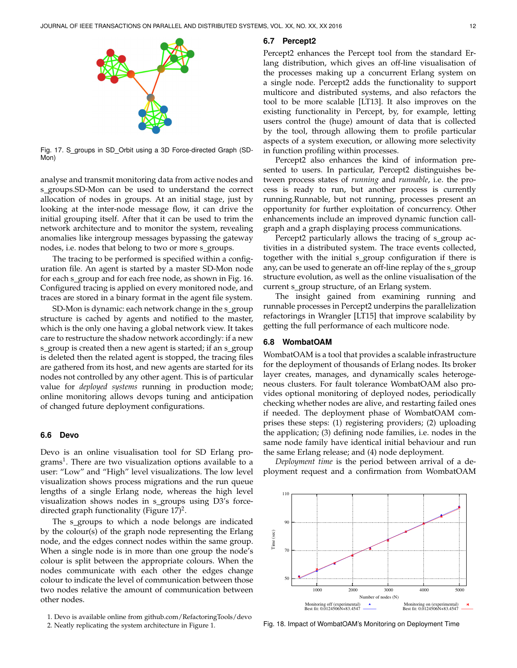

Fig. 17. S\_groups in SD\_Orbit using a 3D Force-directed Graph (SD-Mon)

analyse and transmit monitoring data from active nodes and s groups.SD-Mon can be used to understand the correct allocation of nodes in groups. At an initial stage, just by looking at the inter-node message flow, it can drive the initial grouping itself. After that it can be used to trim the network architecture and to monitor the system, revealing anomalies like intergroup messages bypassing the gateway nodes, i.e. nodes that belong to two or more s\_groups.

The tracing to be performed is specified within a configuration file. An agent is started by a master SD-Mon node for each s\_group and for each free node, as shown in Fig. 16. Configured tracing is applied on every monitored node, and traces are stored in a binary format in the agent file system.

SD-Mon is dynamic: each network change in the s\_group structure is cached by agents and notified to the master, which is the only one having a global network view. It takes care to restructure the shadow network accordingly: if a new s\_group is created then a new agent is started; if an s\_group is deleted then the related agent is stopped, the tracing files are gathered from its host, and new agents are started for its nodes not controlled by any other agent. This is of particular value for *deployed systems* running in production mode; online monitoring allows devops tuning and anticipation of changed future deployment configurations.

#### **6.6 Devo**

Devo is an online visualisation tool for SD Erlang programs<sup>1</sup>. There are two visualization options available to a user: "Low" and "High" level visualizations. The low level visualization shows process migrations and the run queue lengths of a single Erlang node, whereas the high level visualization shows nodes in s\_groups using D3's forcedirected graph functionality (Figure  $17$ )<sup>2</sup>.

The s\_groups to which a node belongs are indicated by the colour(s) of the graph node representing the Erlang node, and the edges connect nodes within the same group. When a single node is in more than one group the node's colour is split between the appropriate colours. When the nodes communicate with each other the edges change colour to indicate the level of communication between those two nodes relative the amount of communication between other nodes.

1. Devo is available online from github.com/RefactoringTools/devo

#### **6.7 Percept2**

Percept2 enhances the Percept tool from the standard Erlang distribution, which gives an off-line visualisation of the processes making up a concurrent Erlang system on a single node. Percept2 adds the functionality to support multicore and distributed systems, and also refactors the tool to be more scalable [LT13]. It also improves on the existing functionality in Percept, by, for example, letting users control the (huge) amount of data that is collected by the tool, through allowing them to profile particular aspects of a system execution, or allowing more selectivity in function profiling within processes.

Percept2 also enhances the kind of information presented to users. In particular, Percept2 distinguishes between process states of *running* and *runnable*, i.e. the process is ready to run, but another process is currently running.Runnable, but not running, processes present an opportunity for further exploitation of concurrency. Other enhancements include an improved dynamic function callgraph and a graph displaying process communications.

Percept2 particularly allows the tracing of s\_group activities in a distributed system. The trace events collected, together with the initial s group configuration if there is any, can be used to generate an off-line replay of the s\_group structure evolution, as well as the online visualisation of the current s\_group structure, of an Erlang system.

The insight gained from examining running and runnable processes in Percept2 underpins the parallelization refactorings in Wrangler [LT15] that improve scalability by getting the full performance of each multicore node.

#### **6.8 WombatOAM**

WombatOAM is a tool that provides a scalable infrastructure for the deployment of thousands of Erlang nodes. Its broker layer creates, manages, and dynamically scales heterogeneous clusters. For fault tolerance WombatOAM also provides optional monitoring of deployed nodes, periodically checking whether nodes are alive, and restarting failed ones if needed. The deployment phase of WombatOAM comprises these steps: (1) registering providers; (2) uploading the application; (3) defining node families, i.e. nodes in the same node family have identical initial behaviour and run the same Erlang release; and (4) node deployment.

*Deployment time* is the period between arrival of a deployment request and a confirmation from WombatOAM



Fig. 18. Impact of WombatOAM's Monitoring on Deployment Time

<sup>2.</sup> Neatly replicating the system architecture in Figure 1.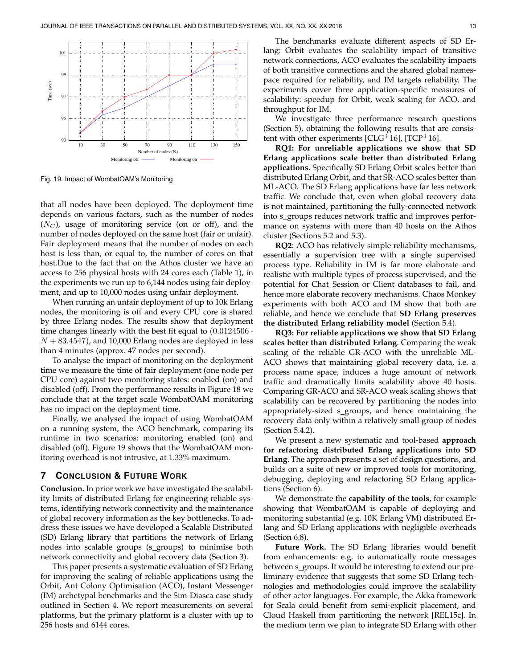

Fig. 19. Impact of WombatOAM's Monitoring

that all nodes have been deployed. The deployment time depends on various factors, such as the number of nodes  $(N_C)$ , usage of monitoring service (on or off), and the number of nodes deployed on the same host (fair or unfair). Fair deployment means that the number of nodes on each host is less than, or equal to, the number of cores on that host.Due to the fact that on the Athos cluster we have an access to 256 physical hosts with 24 cores each (Table 1), in the experiments we run up to 6,144 nodes using fair deployment, and up to 10,000 nodes using unfair deployment.

When running an unfair deployment of up to 10k Erlang nodes, the monitoring is off and every CPU core is shared by three Erlang nodes. The results show that deployment time changes linearly with the best fit equal to  $(0.0124506 \cdot$  $N + 83.4547$ , and 10,000 Erlang nodes are deployed in less than 4 minutes (approx. 47 nodes per second).

To analyse the impact of monitoring on the deployment time we measure the time of fair deployment (one node per CPU core) against two monitoring states: enabled (on) and disabled (off). From the performance results in Figure 18 we conclude that at the target scale WombatOAM monitoring has no impact on the deployment time.

Finally, we analysed the impact of using WombatOAM on a running system, the ACO benchmark, comparing its runtime in two scenarios: monitoring enabled (on) and disabled (off). Figure 19 shows that the WombatOAM monitoring overhead is not intrusive, at 1.33% maximum.

#### **7 CONCLUSION & FUTURE WORK**

**Conclusion.** In prior work we have investigated the scalability limits of distributed Erlang for engineering reliable systems, identifying network connectivity and the maintenance of global recovery information as the key bottlenecks. To address these issues we have developed a Scalable Distributed (SD) Erlang library that partitions the network of Erlang nodes into scalable groups (s\_groups) to minimise both network connectivity and global recovery data (Section 3).

This paper presents a systematic evaluation of SD Erlang for improving the scaling of reliable applications using the Orbit, Ant Colony Optimisation (ACO), Instant Messenger (IM) archetypal benchmarks and the Sim-Diasca case study outlined in Section 4. We report measurements on several platforms, but the primary platform is a cluster with up to 256 hosts and 6144 cores.

The benchmarks evaluate different aspects of SD Erlang: Orbit evaluates the scalability impact of transitive network connections, ACO evaluates the scalability impacts of both transitive connections and the shared global namespace required for reliability, and IM targets reliability. The experiments cover three application-specific measures of scalability: speedup for Orbit, weak scaling for ACO, and throughput for IM.

We investigate three performance research questions (Section 5), obtaining the following results that are consistent with other experiments [ $CLG^+16$ ], [TCP<sup>+</sup>16].

**RQ1: For unreliable applications we show that SD Erlang applications scale better than distributed Erlang applications.** Specifically SD Erlang Orbit scales better than distributed Erlang Orbit, and that SR-ACO scales better than ML-ACO. The SD Erlang applications have far less network traffic. We conclude that, even when global recovery data is not maintained, partitioning the fully-connected network into s\_groups reduces network traffic and improves performance on systems with more than 40 hosts on the Athos cluster (Sections 5.2 and 5.3).

**RQ2**: ACO has relatively simple reliability mechanisms, essentially a supervision tree with a single supervised process type. Reliability in IM is far more elaborate and realistic with multiple types of process supervised, and the potential for Chat Session or Client databases to fail, and hence more elaborate recovery mechanisms. Chaos Monkey experiments with both ACO and IM show that both are reliable, and hence we conclude that **SD Erlang preserves the distributed Erlang reliability model** (Section 5.4).

**RQ3: For reliable applications we show that SD Erlang scales better than distributed Erlang**. Comparing the weak scaling of the reliable GR-ACO with the unreliable ML-ACO shows that maintaining global recovery data, i.e. a process name space, induces a huge amount of network traffic and dramatically limits scalability above 40 hosts. Comparing GR-ACO and SR-ACO weak scaling shows that scalability can be recovered by partitioning the nodes into appropriately-sized s\_groups, and hence maintaining the recovery data only within a relatively small group of nodes (Section 5.4.2).

We present a new systematic and tool-based **approach for refactoring distributed Erlang applications into SD Erlang**. The approach presents a set of design questions, and builds on a suite of new or improved tools for monitoring, debugging, deploying and refactoring SD Erlang applications (Section 6).

We demonstrate the **capability of the tools**, for example showing that WombatOAM is capable of deploying and monitoring substantial (e.g. 10K Erlang VM) distributed Erlang and SD Erlang applications with negligible overheads (Section 6.8).

**Future Work.** The SD Erlang libraries would benefit from enhancements: e.g. to automatically route messages between s\_groups. It would be interesting to extend our preliminary evidence that suggests that some SD Erlang technologies and methodologies could improve the scalability of other actor languages. For example, the Akka framework for Scala could benefit from semi-explicit placement, and Cloud Haskell from partitioning the network [REL15c]. In the medium term we plan to integrate SD Erlang with other